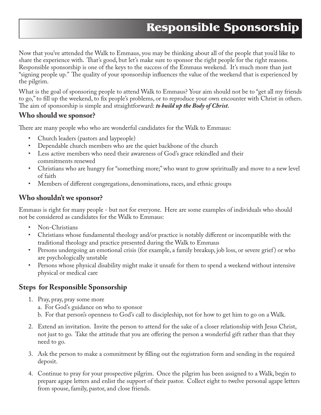# **Responsible Sponsorship**

Now that you've attended the Walk to Emmaus, you may be thinking about all of the people that you'd like to share the experience with. That's good, but let's make sure to sponsor the right people for the right reasons. Responsible sponsorship is one of the keys to the success of the Emmaus weekend. It's much more than just "signing people up." The quality of your sponsorship influences the value of the weekend that is experienced by the pilgrim.

What is the goal of sponsoring people to attend Walk to Emmaus? Your aim should not be to "get all my friends to go," to fill up the weekend, to fix people's problems, or to reproduce your own encounter with Christ in others. The aim of sponsorship is simple and straightforward: *to build up the Body of Christ*.

#### **Who should we sponsor?**

There are many people who who are wonderful candidates for the Walk to Emmaus:

- Church leaders (pastors and laypeople)
- Dependable church members who are the quiet backbone of the church
- Less active members who need their awareness of God's grace rekindled and their commitments renewed
- Christians who are hungry for "something more;" who want to grow spriritually and move to a new level of faith
- Members of different congregations, denominations, races, and ethnic groups

### **Who shouldn't we sponsor?**

Emmaus is right for many people - but not for everyone. Here are some examples of individuals who should not be considered as candidates for the Walk to Emmaus:

- Non-Christians
- Christians whose fundamental theology and/or practice is notably different or incompatible with the traditional theology and practice presented during the Walk to Emmaus
- Persons undergoing an emotional crisis (for example, a family breakup, job loss, or severe grief ) or who are psychologically unstable
- Persons whose physical disability might make it unsafe for them to spend a weekend without intensive physical or medical care

## **Steps for Responsible Sponsorship**

- 1. Pray, pray, pray some more
	- a. For God's guidance on who to sponsor
	- b. For that person's openness to God's call to discipleship, not for how to get him to go on a Walk.
- 2. Extend an invitation. Invite the person to attend for the sake of a closer relationship with Jesus Christ, not just to go. Take the attitude that you are offering the person a wonderful gift rather than that they need to go.
- 3. Ask the person to make a commitment by filling out the registration form and sending in the required deposit.
- 4. Continue to pray for your prospective pilgrim. Once the pilgrim has been assigned to a Walk, begin to prepare agape letters and enlist the support of their pastor. Collect eight to twelve personal agape letters from spouse, family, pastor, and close friends.